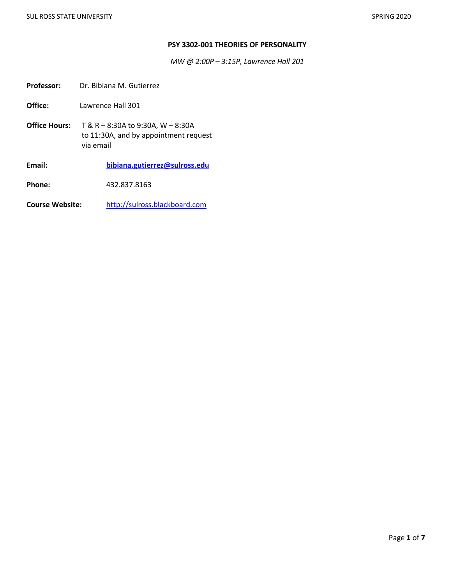### **PSY 3302-001 THEORIES OF PERSONALITY**

*MW @ 2:00P – 3:15P, Lawrence Hall 201*

Professor: Dr. Bibiana M. Gutierrez

**Office:** Lawrence Hall 301

**Office Hours:** T & R – 8:30A to 9:30A, W – 8:30A to 11:30A, and by appointment request via email

**Email: [bibiana.gutierrez@sulross.edu](mailto:bibiana.gutierrez@sulross.edu)**

**Phone:** 432.837.8163

**Course Website:** [http://sulross.blackboard.com](http://sulross.blackboard.com/)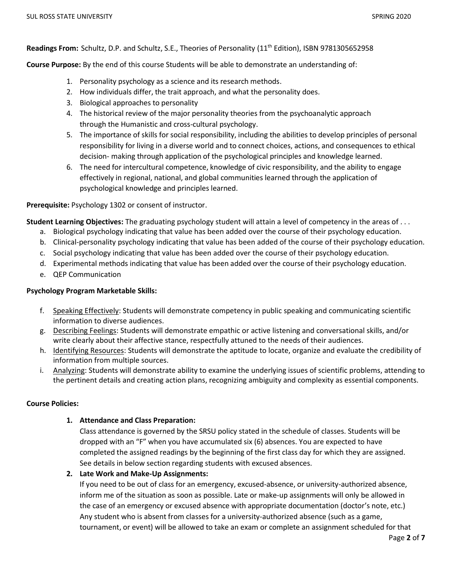**Readings From:** Schultz, D.P. and Schultz, S.E., Theories of Personality (11th Edition), ISBN 9781305652958

**Course Purpose:** By the end of this course Students will be able to demonstrate an understanding of:

- 1. Personality psychology as a science and its research methods.
- 2. How individuals differ, the trait approach, and what the personality does.
- 3. Biological approaches to personality
- 4. The historical review of the major personality theories from the psychoanalytic approach through the Humanistic and cross-cultural psychology.
- 5. The importance of skills for social responsibility, including the abilities to develop principles of personal responsibility for living in a diverse world and to connect choices, actions, and consequences to ethical decision- making through application of the psychological principles and knowledge learned.
- 6. The need for intercultural competence, knowledge of civic responsibility, and the ability to engage effectively in regional, national, and global communities learned through the application of psychological knowledge and principles learned.

**Prerequisite:** Psychology 1302 or consent of instructor.

**Student Learning Objectives:** The graduating psychology student will attain a level of competency in the areas of . . .

- a. Biological psychology indicating that value has been added over the course of their psychology education.
- b. Clinical-personality psychology indicating that value has been added of the course of their psychology education.
- c. Social psychology indicating that value has been added over the course of their psychology education.
- d. Experimental methods indicating that value has been added over the course of their psychology education.
- e. QEP Communication

#### **Psychology Program Marketable Skills:**

- f. Speaking Effectively: Students will demonstrate competency in public speaking and communicating scientific information to diverse audiences.
- g. Describing Feelings: Students will demonstrate empathic or active listening and conversational skills, and/or write clearly about their affective stance, respectfully attuned to the needs of their audiences.
- h. Identifying Resources: Students will demonstrate the aptitude to locate, organize and evaluate the credibility of information from multiple sources.
- i. Analyzing: Students will demonstrate ability to examine the underlying issues of scientific problems, attending to the pertinent details and creating action plans, recognizing ambiguity and complexity as essential components.

#### **Course Policies:**

## **1. Attendance and Class Preparation:**

Class attendance is governed by the SRSU policy stated in the schedule of classes. Students will be dropped with an "F" when you have accumulated six (6) absences. You are expected to have completed the assigned readings by the beginning of the first class day for which they are assigned. See details in below section regarding students with excused absences.

## **2. Late Work and Make-Up Assignments:**

If you need to be out of class for an emergency, excused-absence, or university-authorized absence, inform me of the situation as soon as possible. Late or make-up assignments will only be allowed in the case of an emergency or excused absence with appropriate documentation (doctor's note, etc.) Any student who is absent from classes for a university-authorized absence (such as a game, tournament, or event) will be allowed to take an exam or complete an assignment scheduled for that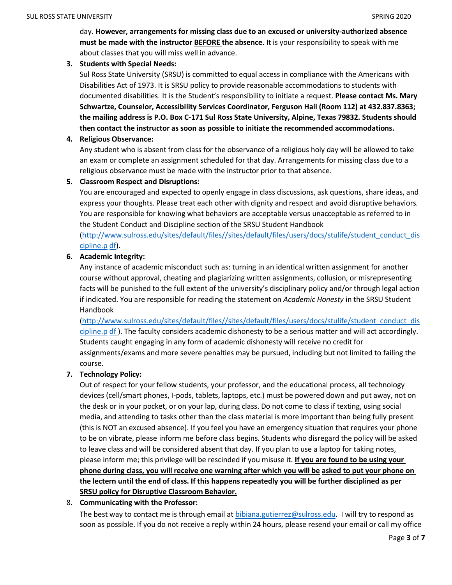day. **However, arrangements for missing class due to an excused or university-authorized absence must be made with the instructor BEFORE the absence.** It is your responsibility to speak with me about classes that you will miss well in advance.

## **3. Students with Special Needs:**

Sul Ross State University (SRSU) is committed to equal access in compliance with the Americans with Disabilities Act of 1973. It is SRSU policy to provide reasonable accommodations to students with documented disabilities. It is the Student's responsibility to initiate a request. **Please contact Ms. Mary Schwartze, Counselor, Accessibility Services Coordinator, Ferguson Hall (Room 112) at 432.837.8363; the mailing address is P.O. Box C-171 Sul Ross State University, Alpine, Texas 79832. Students should then contact the instructor as soon as possible to initiate the recommended accommodations.**

# **4. Religious Observance:**

Any student who is absent from class for the observance of a religious holy day will be allowed to take an exam or complete an assignment scheduled for that day. Arrangements for missing class due to a religious observance must be made with the instructor prior to that absence.

# **5. Classroom Respect and Disruptions:**

You are encouraged and expected to openly engage in class discussions, ask questions, share ideas, and express your thoughts. Please treat each other with dignity and respect and avoid disruptive behaviors. You are responsible for knowing what behaviors are acceptable versus unacceptable as referred to in the Student Conduct and Discipline section of the SRSU Student Handbook

[\(http://www.sulross.edu/sites/default/files//sites/default/files/users/docs/stulife/student\\_conduct\\_dis](http://www.sulross.edu/sites/default/files/sites/default/files/users/docs/stulife/student_conduct_discipline.pdf) [cipline.p](http://www.sulross.edu/sites/default/files/sites/default/files/users/docs/stulife/student_conduct_discipline.pdf) [df\)](http://www.sulross.edu/sites/default/files/sites/default/files/users/docs/stulife/student_conduct_discipline.pdf).

# **6. Academic Integrity:**

Any instance of academic misconduct such as: turning in an identical written assignment for another course without approval, cheating and plagiarizing written assignments, collusion, or misrepresenting facts will be punished to the full extent of the university's disciplinary policy and/or through legal action if indicated. You are responsible for reading the statement on *Academic Honesty* in the SRSU Student Handbook

[\(http://www.sulross.edu/sites/default/files//sites/default/files/users/docs/stulife/student\\_conduct\\_dis](http://www.sulross.edu/sites/default/files/sites/default/files/users/docs/stulife/student_conduct_discipline.pdf)  $c$ ipline.p [df](http://www.sulross.edu/sites/default/files/sites/default/files/users/docs/stulife/student_conduct_discipline.pdf)). The faculty considers academic dishonesty to be a serious matter and will act accordingly. Students caught engaging in any form of academic dishonesty will receive no credit for assignments/exams and more severe penalties may be pursued, including but not limited to failing the course.

# **7. Technology Policy:**

Out of respect for your fellow students, your professor, and the educational process, all technology devices (cell/smart phones, I-pods, tablets, laptops, etc.) must be powered down and put away, not on the desk or in your pocket, or on your lap, during class. Do not come to class if texting, using social media, and attending to tasks other than the class material is more important than being fully present (this is NOT an excused absence). If you feel you have an emergency situation that requires your phone to be on vibrate, please inform me before class begins. Students who disregard the policy will be asked to leave class and will be considered absent that day. If you plan to use a laptop for taking notes, please inform me; this privilege will be rescinded if you misuse it. **If you are found to be using your** phone during class, you will receive one warning after which you will be asked to put your phone on the lectern until the end of class. If this happens repeatedly you will be further disciplined as per **SRSU policy for Disruptive Classroom Behavior.**

## 8. **Communicating with the Professor:**

The best way to contact me is through email at [bibiana.gutierrez@sulross.edu.](mailto:bibiana.gutierrez@sulross.edu) I will try to respond as soon as possible. If you do not receive a reply within 24 hours, please resend your email or call my office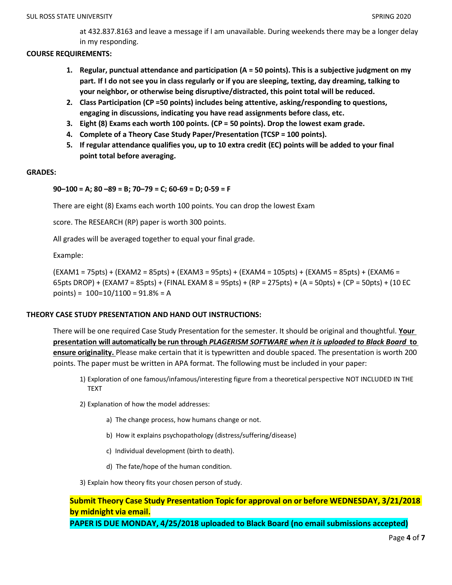at 432.837.8163 and leave a message if I am unavailable. During weekends there may be a longer delay in my responding.

### **COURSE REQUIREMENTS:**

- **1. Regular, punctual attendance and participation (A = 50 points). This is a subjective judgment on my part. If I do not see you in class regularly or if you are sleeping, texting, day dreaming, talking to your neighbor, or otherwise being disruptive/distracted, this point total will be reduced.**
- **2. Class Participation (CP =50 points) includes being attentive, asking/responding to questions, engaging in discussions, indicating you have read assignments before class, etc.**
- **3. Eight (8) Exams each worth 100 points. (CP = 50 points). Drop the lowest exam grade.**
- **4. Complete of a Theory Case Study Paper/Presentation (TCSP = 100 points).**
- 5. If regular attendance qualifies you, up to 10 extra credit (EC) points will be added to your final **point total before averaging.**

#### **GRADES:**

## **90–100 = A; 80 –89 = B; 70–79 = C; 60-69 = D; 0-59 = F**

There are eight (8) Exams each worth 100 points. You can drop the lowest Exam

score. The RESEARCH (RP) paper is worth 300 points.

All grades will be averaged together to equal your final grade.

Example:

(EXAM1 = 75pts) + (EXAM2 = 85pts) + (EXAM3 = 95pts) + (EXAM4 = 105pts) + (EXAM5 = 85pts) + (EXAM6 = 65pts DROP) + (EXAM7 = 85pts) + (FINAL EXAM 8 = 95pts) + (RP = 275pts) + (A = 50pts) + (CP = 50pts) + (10 EC points) =  $100=10/1100 = 91.8% = A$ 

## **THEORY CASE STUDY PRESENTATION AND HAND OUT INSTRUCTIONS:**

There will be one required Case Study Presentation for the semester. It should be original and thoughtful. **Your presentation will automatically be run through** *PLAGERISM SOFTWARE when it is uploaded to Black Board* **to ensure originality.** Please make certain that it is typewritten and double spaced. The presentation is worth 200 points. The paper must be written in APA format. The following must be included in your paper:

- 1) Exploration of one famous/infamous/interesting figure from a theoretical perspective NOT INCLUDED IN THE TEXT
- 2) Explanation of how the model addresses:
	- a) The change process, how humans change or not.
	- b) How it explains psychopathology (distress/suffering/disease)
	- c) Individual development (birth to death).
	- d) The fate/hope of the human condition.
- 3) Explain how theory fits your chosen person of study.

# **Submit Theory Case Study Presentation Topic for approval on or before WEDNESDAY, 3/21/2018 by midnight via email.**

**PAPER IS DUE MONDAY, 4/25/2018 uploaded to Black Board (no email submissions accepted)**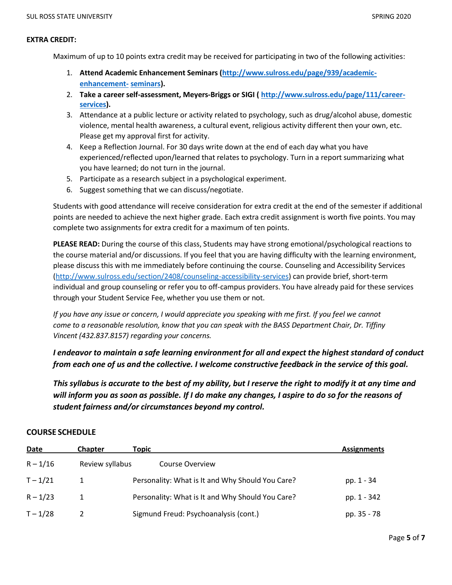#### **EXTRA CREDIT:**

Maximum of up to 10 points extra credit may be received for participating in two of the following activities:

- 1. **Attend Academic Enhancement Seminars [\(http://www.sulross.edu/page/939/academic](http://www.sulross.edu/page/939/academic-enhancement-seminars)[enhancement-](http://www.sulross.edu/page/939/academic-enhancement-seminars) [seminars\)](http://www.sulross.edu/page/939/academic-enhancement-seminars).**
- 2. **Take a career self-assessment, Meyers-Briggs or SIGI ( [http://www.sulross.edu/page/111/career](http://www.sulross.edu/page/111/career-services)[services\)](http://www.sulross.edu/page/111/career-services).**
- 3. Attendance at a public lecture or activity related to psychology, such as drug/alcohol abuse, domestic violence, mental health awareness, a cultural event, religious activity different then your own, etc. Please get my approval first for activity.
- 4. Keep a Reflection Journal. For 30 days write down at the end of each day what you have experienced/reflected upon/learned that relates to psychology. Turn in a report summarizing what you have learned; do not turn in the journal.
- 5. Participate as a research subject in a psychological experiment.
- 6. Suggest something that we can discuss/negotiate.

Students with good attendance will receive consideration for extra credit at the end of the semester if additional points are needed to achieve the next higher grade. Each extra credit assignment is worth five points. You may complete two assignments for extra credit for a maximum of ten points.

**PLEASE READ:** During the course of this class, Students may have strong emotional/psychological reactions to the course material and/or discussions. If you feel that you are having difficulty with the learning environment, please discuss this with me immediately before continuing the course. Counseling and Accessibility Services [\(http://www.sulross.edu/section/2408/counseling-accessibility-services\)](http://www.sulross.edu/section/2408/counseling-accessibility-services) can provide brief, short-term individual and group counseling or refer you to off-campus providers. You have already paid for these services through your Student Service Fee, whether you use them or not.

If you have any issue or concern, I would appreciate you speaking with me first. If you feel we cannot *come to a reasonable resolution, know that you can speak with the BASS Department Chair, Dr. Tiffiny Vincent (432.837.8157) regarding your concerns.*

*I endeavor to maintain a safe learning environment for all and expect the highest standard of conduct from each one of us and the collective. I welcome constructive feedback in the service of this goal.*

This syllabus is accurate to the best of my ability, but I reserve the right to modify it at any time and will inform you as soon as possible. If I do make any changes, I aspire to do so for the reasons of *student fairness and/or circumstances beyond my control.*

## **COURSE SCHEDULE**

| Date       | <b>Chapter</b>  | Topic                                            | <b>Assignments</b> |
|------------|-----------------|--------------------------------------------------|--------------------|
| $R - 1/16$ | Review syllabus | Course Overview                                  |                    |
| $T - 1/21$ |                 | Personality: What is It and Why Should You Care? | pp. 1 - 34         |
| $R - 1/23$ |                 | Personality: What is It and Why Should You Care? | pp. 1 - 342        |
| $T - 1/28$ |                 | Sigmund Freud: Psychoanalysis (cont.)            | pp. 35 - 78        |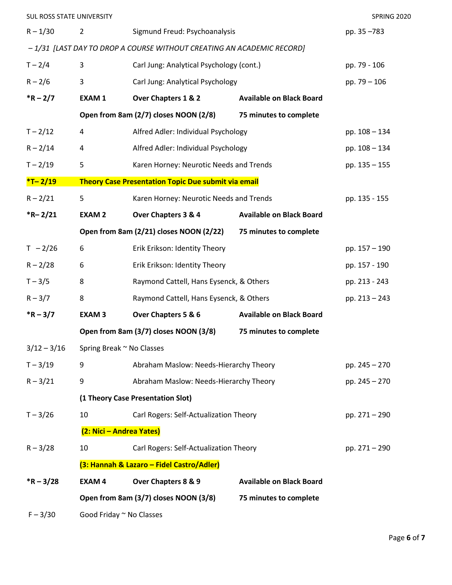| SUL ROSS STATE UNIVERSITY |                                                                 |                                                                       |                                 | SPRING 2020   |  |  |
|---------------------------|-----------------------------------------------------------------|-----------------------------------------------------------------------|---------------------------------|---------------|--|--|
| $R - 1/30$                | $\overline{2}$                                                  | Sigmund Freud: Psychoanalysis                                         | pp. 35-783                      |               |  |  |
|                           |                                                                 | -1/31 [LAST DAY TO DROP A COURSE WITHOUT CREATING AN ACADEMIC RECORD] |                                 |               |  |  |
| $T - 2/4$                 | 3                                                               | Carl Jung: Analytical Psychology (cont.)                              |                                 | pp. 79 - 106  |  |  |
| $R - 2/6$                 | 3                                                               | Carl Jung: Analytical Psychology                                      |                                 | pp. 79 - 106  |  |  |
| $*R - 2/7$                | <b>EXAM1</b>                                                    | Over Chapters 1 & 2                                                   | <b>Available on Black Board</b> |               |  |  |
|                           |                                                                 | Open from 8am (2/7) closes NOON (2/8)                                 | 75 minutes to complete          |               |  |  |
| $T - 2/12$                | 4                                                               | Alfred Adler: Individual Psychology                                   |                                 | pp. 108 - 134 |  |  |
| $R - 2/14$                | 4                                                               | Alfred Adler: Individual Psychology                                   |                                 | pp. 108 - 134 |  |  |
| $T - 2/19$                | 5                                                               | Karen Horney: Neurotic Needs and Trends                               |                                 | pp. 135 - 155 |  |  |
| $*T - 2/19$               |                                                                 | <b>Theory Case Presentation Topic Due submit via email</b>            |                                 |               |  |  |
| $R - 2/21$                | 5                                                               | Karen Horney: Neurotic Needs and Trends                               |                                 | pp. 135 - 155 |  |  |
| $*R - 2/21$               | <b>EXAM2</b>                                                    | Over Chapters 3 & 4                                                   | <b>Available on Black Board</b> |               |  |  |
|                           | Open from 8am (2/21) closes NOON (2/22)                         |                                                                       |                                 |               |  |  |
| $T - 2/26$                | 6                                                               | Erik Erikson: Identity Theory                                         |                                 | pp. 157 - 190 |  |  |
| $R - 2/28$                | 6                                                               | Erik Erikson: Identity Theory                                         |                                 | pp. 157 - 190 |  |  |
| $T - 3/5$                 | 8                                                               | Raymond Cattell, Hans Eysenck, & Others                               |                                 | pp. 213 - 243 |  |  |
| $R - 3/7$                 | 8                                                               | Raymond Cattell, Hans Eysenck, & Others                               |                                 | pp. 213 - 243 |  |  |
| $*R - 3/7$                | <b>EXAM3</b>                                                    | Over Chapters 5 & 6                                                   | <b>Available on Black Board</b> |               |  |  |
|                           | Open from 8am (3/7) closes NOON (3/8)                           |                                                                       |                                 |               |  |  |
| $3/12 - 3/16$             |                                                                 | Spring Break ~ No Classes                                             |                                 |               |  |  |
| $T - 3/19$                | 9                                                               | Abraham Maslow: Needs-Hierarchy Theory                                |                                 | pp. 245 - 270 |  |  |
| $R - 3/21$                | 9                                                               | Abraham Maslow: Needs-Hierarchy Theory                                |                                 | pp. 245 - 270 |  |  |
|                           | (1 Theory Case Presentation Slot)                               |                                                                       |                                 |               |  |  |
| $T - 3/26$                | 10                                                              | Carl Rogers: Self-Actualization Theory                                |                                 | pp. 271 - 290 |  |  |
|                           | (2: Nici - Andrea Yates)                                        |                                                                       |                                 |               |  |  |
| $R - 3/28$                | 10                                                              | Carl Rogers: Self-Actualization Theory                                |                                 | pp. 271 - 290 |  |  |
|                           | (3: Hannah & Lazaro - Fidel Castro/Adler)                       |                                                                       |                                 |               |  |  |
| $*R - 3/28$               | <b>EXAM4</b>                                                    | Over Chapters 8 & 9                                                   | <b>Available on Black Board</b> |               |  |  |
|                           | Open from 8am (3/7) closes NOON (3/8)<br>75 minutes to complete |                                                                       |                                 |               |  |  |
| $F - 3/30$                | Good Friday ~ No Classes                                        |                                                                       |                                 |               |  |  |